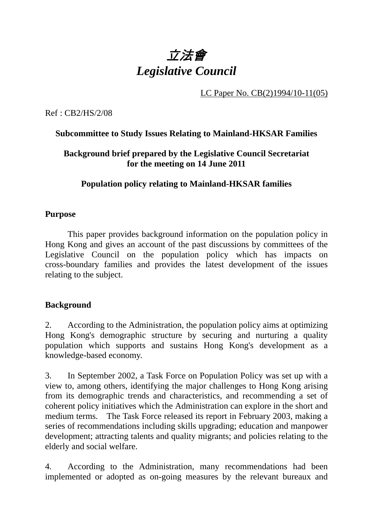

LC Paper No. CB(2)1994/10-11(05)

Ref : CB2/HS/2/08

# **Subcommittee to Study Issues Relating to Mainland-HKSAR Families**

# **Background brief prepared by the Legislative Council Secretariat for the meeting on 14 June 2011**

# **Population policy relating to Mainland-HKSAR families**

#### **Purpose**

 This paper provides background information on the population policy in Hong Kong and gives an account of the past discussions by committees of the Legislative Council on the population policy which has impacts on cross-boundary families and provides the latest development of the issues relating to the subject.

#### **Background**

2. According to the Administration, the population policy aims at optimizing Hong Kong's demographic structure by securing and nurturing a quality population which supports and sustains Hong Kong's development as a knowledge-based economy.

3. In September 2002, a Task Force on Population Policy was set up with a view to, among others, identifying the major challenges to Hong Kong arising from its demographic trends and characteristics, and recommending a set of coherent policy initiatives which the Administration can explore in the short and medium terms. The Task Force released its report in February 2003, making a series of recommendations including skills upgrading; education and manpower development; attracting talents and quality migrants; and policies relating to the elderly and social welfare.

4. According to the Administration, many recommendations had been implemented or adopted as on-going measures by the relevant bureaux and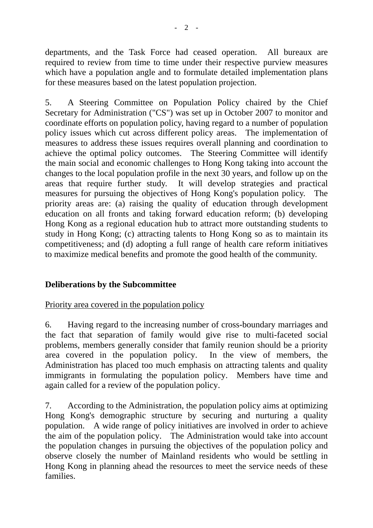departments, and the Task Force had ceased operation. All bureaux are required to review from time to time under their respective purview measures which have a population angle and to formulate detailed implementation plans for these measures based on the latest population projection.

5. A Steering Committee on Population Policy chaired by the Chief Secretary for Administration ("CS") was set up in October 2007 to monitor and coordinate efforts on population policy, having regard to a number of population policy issues which cut across different policy areas. The implementation of measures to address these issues requires overall planning and coordination to achieve the optimal policy outcomes. The Steering Committee will identify the main social and economic challenges to Hong Kong taking into account the changes to the local population profile in the next 30 years, and follow up on the areas that require further study. It will develop strategies and practical measures for pursuing the objectives of Hong Kong's population policy. The priority areas are: (a) raising the quality of education through development education on all fronts and taking forward education reform; (b) developing Hong Kong as a regional education hub to attract more outstanding students to study in Hong Kong; (c) attracting talents to Hong Kong so as to maintain its competitiveness; and (d) adopting a full range of health care reform initiatives to maximize medical benefits and promote the good health of the community.

# **Deliberations by the Subcommittee**

Priority area covered in the population policy

6. Having regard to the increasing number of cross-boundary marriages and the fact that separation of family would give rise to multi-faceted social problems, members generally consider that family reunion should be a priority area covered in the population policy. In the view of members, the Administration has placed too much emphasis on attracting talents and quality immigrants in formulating the population policy. Members have time and again called for a review of the population policy.

7. According to the Administration, the population policy aims at optimizing Hong Kong's demographic structure by securing and nurturing a quality population. A wide range of policy initiatives are involved in order to achieve the aim of the population policy. The Administration would take into account the population changes in pursuing the objectives of the population policy and observe closely the number of Mainland residents who would be settling in Hong Kong in planning ahead the resources to meet the service needs of these families.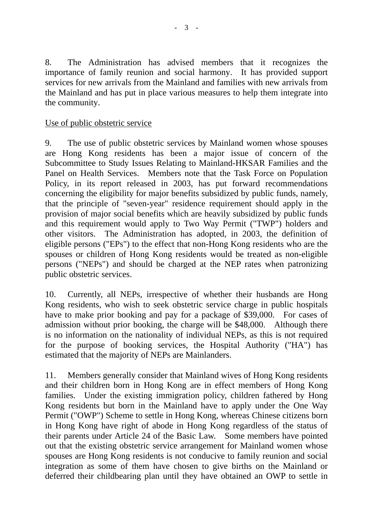8. The Administration has advised members that it recognizes the importance of family reunion and social harmony. It has provided support services for new arrivals from the Mainland and families with new arrivals from the Mainland and has put in place various measures to help them integrate into the community.

#### Use of public obstetric service

9. The use of public obstetric services by Mainland women whose spouses are Hong Kong residents has been a major issue of concern of the Subcommittee to Study Issues Relating to Mainland-HKSAR Families and the Panel on Health Services. Members note that the Task Force on Population Policy, in its report released in 2003, has put forward recommendations concerning the eligibility for major benefits subsidized by public funds, namely, that the principle of "seven-year" residence requirement should apply in the provision of major social benefits which are heavily subsidized by public funds and this requirement would apply to Two Way Permit ("TWP") holders and other visitors. The Administration has adopted, in 2003, the definition of eligible persons ("EPs") to the effect that non-Hong Kong residents who are the spouses or children of Hong Kong residents would be treated as non-eligible persons ("NEPs") and should be charged at the NEP rates when patronizing public obstetric services.

10. Currently, all NEPs, irrespective of whether their husbands are Hong Kong residents, who wish to seek obstetric service charge in public hospitals have to make prior booking and pay for a package of \$39,000. For cases of admission without prior booking, the charge will be \$48,000. Although there is no information on the nationality of individual NEPs, as this is not required for the purpose of booking services, the Hospital Authority ("HA") has estimated that the majority of NEPs are Mainlanders.

11. Members generally consider that Mainland wives of Hong Kong residents and their children born in Hong Kong are in effect members of Hong Kong families. Under the existing immigration policy, children fathered by Hong Kong residents but born in the Mainland have to apply under the One Way Permit ("OWP") Scheme to settle in Hong Kong, whereas Chinese citizens born in Hong Kong have right of abode in Hong Kong regardless of the status of their parents under Article 24 of the Basic Law. Some members have pointed out that the existing obstetric service arrangement for Mainland women whose spouses are Hong Kong residents is not conducive to family reunion and social integration as some of them have chosen to give births on the Mainland or deferred their childbearing plan until they have obtained an OWP to settle in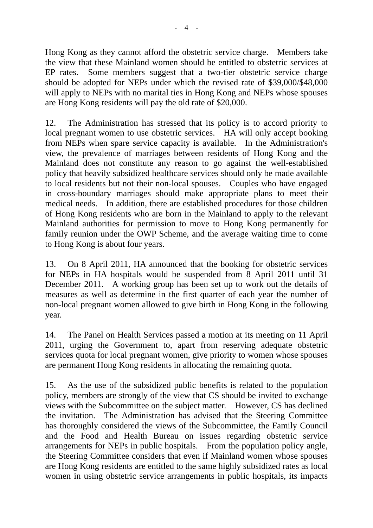Hong Kong as they cannot afford the obstetric service charge. Members take the view that these Mainland women should be entitled to obstetric services at EP rates. Some members suggest that a two-tier obstetric service charge should be adopted for NEPs under which the revised rate of \$39,000/\$48,000 will apply to NEPs with no marital ties in Hong Kong and NEPs whose spouses are Hong Kong residents will pay the old rate of \$20,000.

12. The Administration has stressed that its policy is to accord priority to local pregnant women to use obstetric services. HA will only accept booking from NEPs when spare service capacity is available. In the Administration's view, the prevalence of marriages between residents of Hong Kong and the Mainland does not constitute any reason to go against the well-established policy that heavily subsidized healthcare services should only be made available to local residents but not their non-local spouses. Couples who have engaged in cross-boundary marriages should make appropriate plans to meet their medical needs. In addition, there are established procedures for those children of Hong Kong residents who are born in the Mainland to apply to the relevant Mainland authorities for permission to move to Hong Kong permanently for family reunion under the OWP Scheme, and the average waiting time to come to Hong Kong is about four years.

13. On 8 April 2011, HA announced that the booking for obstetric services for NEPs in HA hospitals would be suspended from 8 April 2011 until 31 December 2011. A working group has been set up to work out the details of measures as well as determine in the first quarter of each year the number of non-local pregnant women allowed to give birth in Hong Kong in the following year.

14. The Panel on Health Services passed a motion at its meeting on 11 April 2011, urging the Government to, apart from reserving adequate obstetric services quota for local pregnant women, give priority to women whose spouses are permanent Hong Kong residents in allocating the remaining quota.

15. As the use of the subsidized public benefits is related to the population policy, members are strongly of the view that CS should be invited to exchange views with the Subcommittee on the subject matter. However, CS has declined the invitation. The Administration has advised that the Steering Committee has thoroughly considered the views of the Subcommittee, the Family Council and the Food and Health Bureau on issues regarding obstetric service arrangements for NEPs in public hospitals. From the population policy angle, the Steering Committee considers that even if Mainland women whose spouses are Hong Kong residents are entitled to the same highly subsidized rates as local women in using obstetric service arrangements in public hospitals, its impacts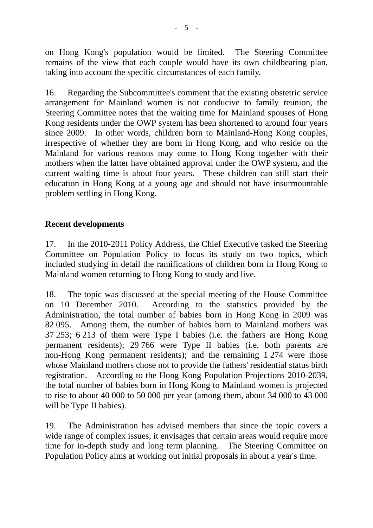on Hong Kong's population would be limited. The Steering Committee remains of the view that each couple would have its own childbearing plan, taking into account the specific circumstances of each family.

16. Regarding the Subcommittee's comment that the existing obstetric service arrangement for Mainland women is not conducive to family reunion, the Steering Committee notes that the waiting time for Mainland spouses of Hong Kong residents under the OWP system has been shortened to around four years since 2009. In other words, children born to Mainland-Hong Kong couples, irrespective of whether they are born in Hong Kong, and who reside on the Mainland for various reasons may come to Hong Kong together with their mothers when the latter have obtained approval under the OWP system, and the current waiting time is about four years. These children can still start their education in Hong Kong at a young age and should not have insurmountable problem settling in Hong Kong.

# **Recent developments**

17. In the 2010-2011 Policy Address, the Chief Executive tasked the Steering Committee on Population Policy to focus its study on two topics, which included studying in detail the ramifications of children born in Hong Kong to Mainland women returning to Hong Kong to study and live.

18. The topic was discussed at the special meeting of the House Committee on 10 December 2010. According to the statistics provided by the Administration, the total number of babies born in Hong Kong in 2009 was 82,095. Among them, the number of babies born to Mainland mothers was 37,253; 6,213 of them were Type I babies (i.e. the fathers are Hong Kong permanent residents); 29,766 were Type II babies (i.e. both parents are non-Hong Kong permanent residents); and the remaining 1,274 were those whose Mainland mothers chose not to provide the fathers' residential status birth registration. According to the Hong Kong Population Projections 2010-2039, the total number of babies born in Hong Kong to Mainland women is projected to rise to about 40,000 to 50,000 per year (among them, about 34,000 to 43,000 will be Type II babies).

19. The Administration has advised members that since the topic covers a wide range of complex issues, it envisages that certain areas would require more time for in-depth study and long term planning. The Steering Committee on Population Policy aims at working out initial proposals in about a year's time.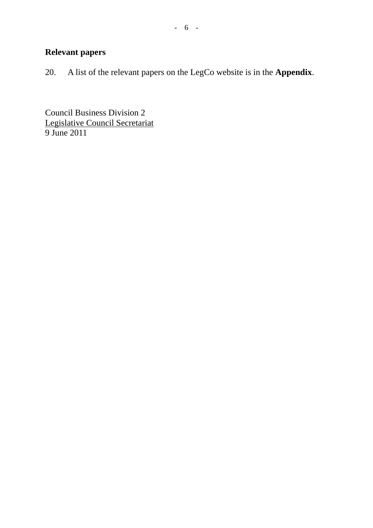# **Relevant papers**

20. A list of the relevant papers on the LegCo website is in the **Appendix**.

Council Business Division 2 Legislative Council Secretariat 9 June 2011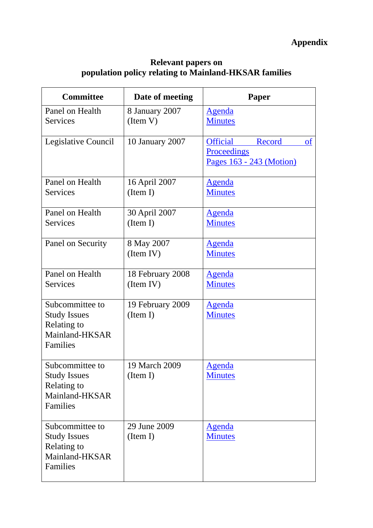# **Appendix**

#### **Relevant papers on population policy relating to Mainland-HKSAR families**

| <b>Committee</b>                                                                    | Date of meeting               | Paper                                                                                 |
|-------------------------------------------------------------------------------------|-------------------------------|---------------------------------------------------------------------------------------|
| Panel on Health<br><b>Services</b>                                                  | 8 January 2007<br>(Item V)    | <b>Agenda</b><br><b>Minutes</b>                                                       |
| Legislative Council                                                                 | 10 January 2007               | <b>Official</b><br>Record<br><sub>of</sub><br>Proceedings<br>Pages 163 - 243 (Motion) |
| Panel on Health<br><b>Services</b>                                                  | 16 April 2007<br>(Item I)     | <u>Agenda</u><br><b>Minutes</b>                                                       |
| Panel on Health<br><b>Services</b>                                                  | 30 April 2007<br>(Item I)     | <u>Agenda</u><br><b>Minutes</b>                                                       |
| Panel on Security                                                                   | 8 May 2007<br>(Item IV)       | <b>Agenda</b><br><b>Minutes</b>                                                       |
| Panel on Health<br><b>Services</b>                                                  | 18 February 2008<br>(Item IV) | <b>Agenda</b><br><b>Minutes</b>                                                       |
| Subcommittee to<br><b>Study Issues</b><br>Relating to<br>Mainland-HKSAR<br>Families | 19 February 2009<br>(Item I)  | <b>Agenda</b><br><b>Minutes</b>                                                       |
| Subcommittee to<br><b>Study Issues</b><br>Relating to<br>Mainland-HKSAR<br>Families | 19 March 2009<br>(Item I)     | Agenda<br><b>Minutes</b>                                                              |
| Subcommittee to<br><b>Study Issues</b><br>Relating to<br>Mainland-HKSAR<br>Families | 29 June 2009<br>(Item I)      | <u>Agenda</u><br><b>Minutes</b>                                                       |